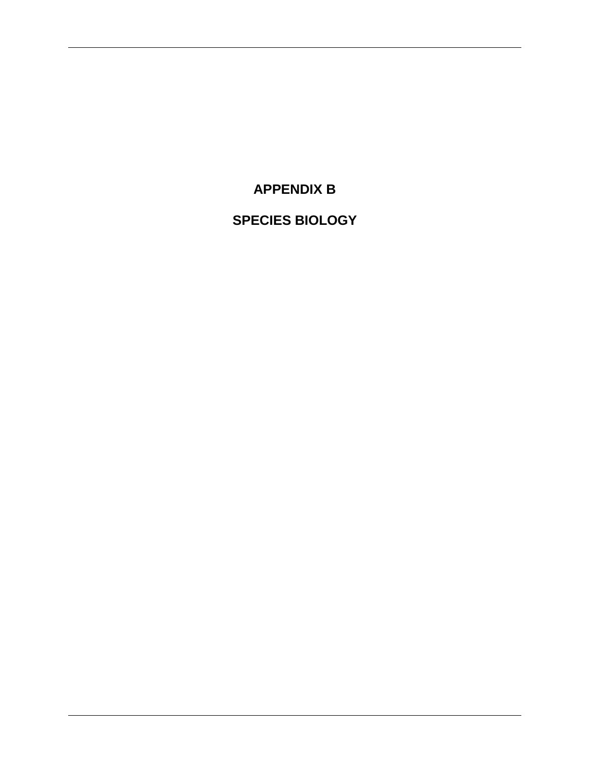**APPENDIX B**

**SPECIES BIOLOGY**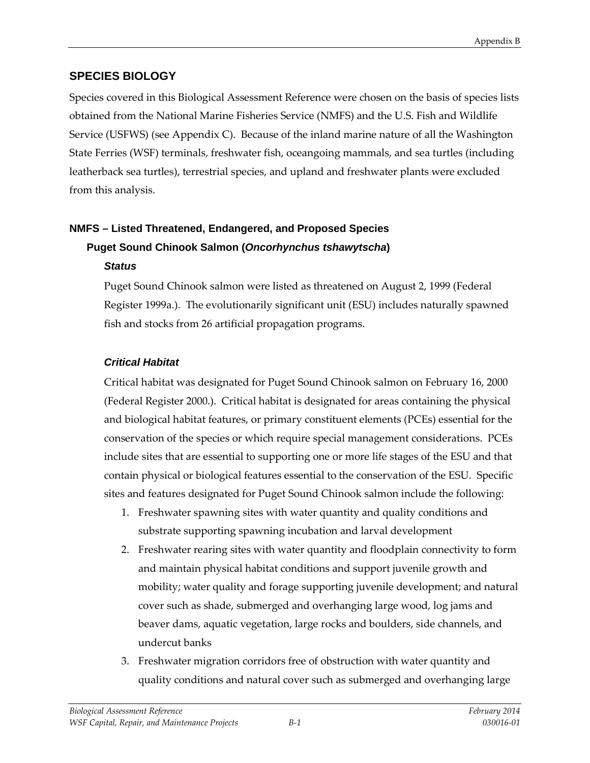# **SPECIES BIOLOGY**

Species covered in this Biological Assessment Reference were chosen on the basis of species lists obtained from the National Marine Fisheries Service (NMFS) and the U.S. Fish and Wildlife Service (USFWS) (see Appendix C). Because of the inland marine nature of all the Washington State Ferries (WSF) terminals, freshwater fish, oceangoing mammals, and sea turtles (including leatherback sea turtles), terrestrial species, and upland and freshwater plants were excluded from this analysis.

# **NMFS – Listed Threatened, Endangered, and Proposed Species Puget Sound Chinook Salmon (***Oncorhynchus tshawytscha***)** *Status*

Puget Sound Chinook salmon were listed as threatened on August 2, 1999 (Federal Register 1999a.). The evolutionarily significant unit (ESU) includes naturally spawned fish and stocks from 26 artificial propagation programs.

# *Critical Habitat*

Critical habitat was designated for Puget Sound Chinook salmon on February 16, 2000 (Federal Register 2000.). Critical habitat is designated for areas containing the physical and biological habitat features, or primary constituent elements (PCEs) essential for the conservation of the species or which require special management considerations. PCEs include sites that are essential to supporting one or more life stages of the ESU and that contain physical or biological features essential to the conservation of the ESU. Specific sites and features designated for Puget Sound Chinook salmon include the following:

- 1. Freshwater spawning sites with water quantity and quality conditions and substrate supporting spawning incubation and larval development
- 2. Freshwater rearing sites with water quantity and floodplain connectivity to form and maintain physical habitat conditions and support juvenile growth and mobility; water quality and forage supporting juvenile development; and natural cover such as shade, submerged and overhanging large wood, log jams and beaver dams, aquatic vegetation, large rocks and boulders, side channels, and undercut banks
- 3. Freshwater migration corridors free of obstruction with water quantity and quality conditions and natural cover such as submerged and overhanging large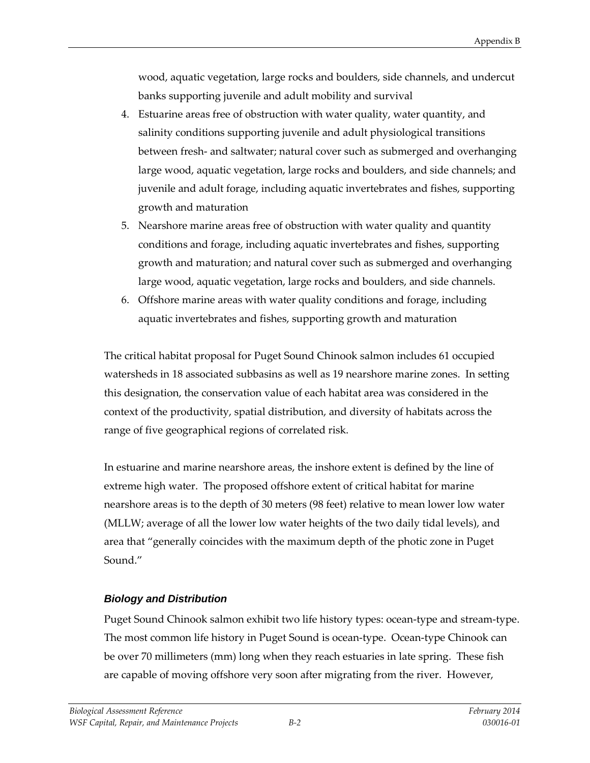wood, aquatic vegetation, large rocks and boulders, side channels, and undercut banks supporting juvenile and adult mobility and survival

- 4. Estuarine areas free of obstruction with water quality, water quantity, and salinity conditions supporting juvenile and adult physiological transitions between fresh- and saltwater; natural cover such as submerged and overhanging large wood, aquatic vegetation, large rocks and boulders, and side channels; and juvenile and adult forage, including aquatic invertebrates and fishes, supporting growth and maturation
- 5. Nearshore marine areas free of obstruction with water quality and quantity conditions and forage, including aquatic invertebrates and fishes, supporting growth and maturation; and natural cover such as submerged and overhanging large wood, aquatic vegetation, large rocks and boulders, and side channels.
- 6. Offshore marine areas with water quality conditions and forage, including aquatic invertebrates and fishes, supporting growth and maturation

The critical habitat proposal for Puget Sound Chinook salmon includes 61 occupied watersheds in 18 associated subbasins as well as 19 nearshore marine zones. In setting this designation, the conservation value of each habitat area was considered in the context of the productivity, spatial distribution, and diversity of habitats across the range of five geographical regions of correlated risk.

In estuarine and marine nearshore areas, the inshore extent is defined by the line of extreme high water. The proposed offshore extent of critical habitat for marine nearshore areas is to the depth of 30 meters (98 feet) relative to mean lower low water (MLLW; average of all the lower low water heights of the two daily tidal levels), and area that "generally coincides with the maximum depth of the photic zone in Puget Sound<sup>"</sup>

# *Biology and Distribution*

Puget Sound Chinook salmon exhibit two life history types: ocean-type and stream-type. The most common life history in Puget Sound is ocean-type. Ocean-type Chinook can be over 70 millimeters (mm) long when they reach estuaries in late spring. These fish are capable of moving offshore very soon after migrating from the river. However,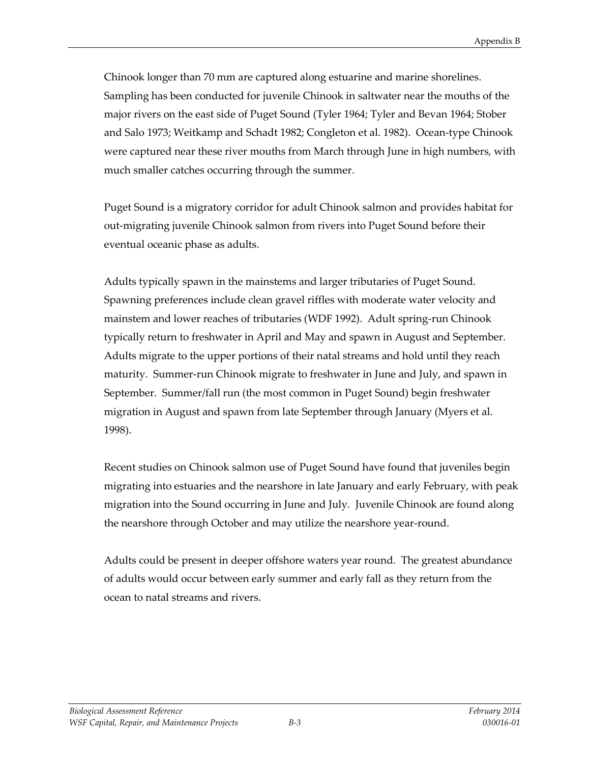Chinook longer than 70 mm are captured along estuarine and marine shorelines. Sampling has been conducted for juvenile Chinook in saltwater near the mouths of the major rivers on the east side of Puget Sound (Tyler 1964; Tyler and Bevan 1964; Stober and Salo 1973; Weitkamp and Schadt 1982; Congleton et al. 1982). Ocean-type Chinook were captured near these river mouths from March through June in high numbers, with much smaller catches occurring through the summer.

Puget Sound is a migratory corridor for adult Chinook salmon and provides habitat for out-migrating juvenile Chinook salmon from rivers into Puget Sound before their eventual oceanic phase as adults.

Adults typically spawn in the mainstems and larger tributaries of Puget Sound. Spawning preferences include clean gravel riffles with moderate water velocity and mainstem and lower reaches of tributaries (WDF 1992). Adult spring-run Chinook typically return to freshwater in April and May and spawn in August and September. Adults migrate to the upper portions of their natal streams and hold until they reach maturity. Summer-run Chinook migrate to freshwater in June and July, and spawn in September. Summer/fall run (the most common in Puget Sound) begin freshwater migration in August and spawn from late September through January (Myers et al. 1998).

Recent studies on Chinook salmon use of Puget Sound have found that juveniles begin migrating into estuaries and the nearshore in late January and early February, with peak migration into the Sound occurring in June and July. Juvenile Chinook are found along the nearshore through October and may utilize the nearshore year-round.

Adults could be present in deeper offshore waters year round. The greatest abundance of adults would occur between early summer and early fall as they return from the ocean to natal streams and rivers.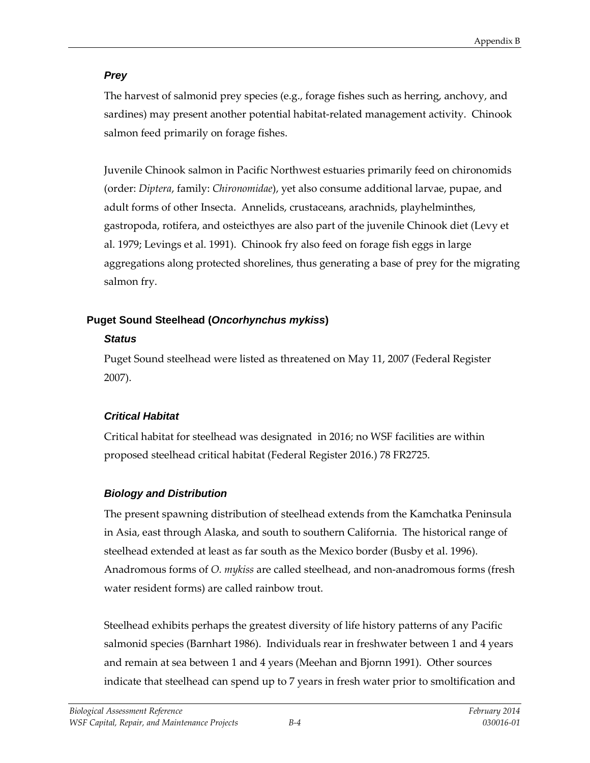# *Prey*

The harvest of salmonid prey species (e.g., forage fishes such as herring, anchovy, and sardines) may present another potential habitat-related management activity. Chinook salmon feed primarily on forage fishes.

Juvenile Chinook salmon in Pacific Northwest estuaries primarily feed on chironomids (order: *Diptera*, family: *Chironomidae*), yet also consume additional larvae, pupae, and adult forms of other Insecta. Annelids, crustaceans, arachnids, playhelminthes, gastropoda, rotifera, and osteicthyes are also part of the juvenile Chinook diet (Levy et al. 1979; Levings et al. 1991). Chinook fry also feed on forage fish eggs in large aggregations along protected shorelines, thus generating a base of prey for the migrating salmon fry.

# **Puget Sound Steelhead (***Oncorhynchus mykiss***)**

# *Status*

Puget Sound steelhead were listed as threatened on May 11, 2007 (Federal Register 2007).

# *Critical Habitat*

Critical habitat for steelhead was designated in 2016; no WSF facilities are within proposed steelhead critical habitat (Federal Register 2016.) 78 FR2725.

# *Biology and Distribution*

The present spawning distribution of steelhead extends from the Kamchatka Peninsula in Asia, east through Alaska, and south to southern California. The historical range of steelhead extended at least as far south as the Mexico border (Busby et al. 1996). Anadromous forms of *O. mykiss* are called steelhead, and non-anadromous forms (fresh water resident forms) are called rainbow trout.

Steelhead exhibits perhaps the greatest diversity of life history patterns of any Pacific salmonid species (Barnhart 1986). Individuals rear in freshwater between 1 and 4 years and remain at sea between 1 and 4 years (Meehan and Bjornn 1991). Other sources indicate that steelhead can spend up to 7 years in fresh water prior to smoltification and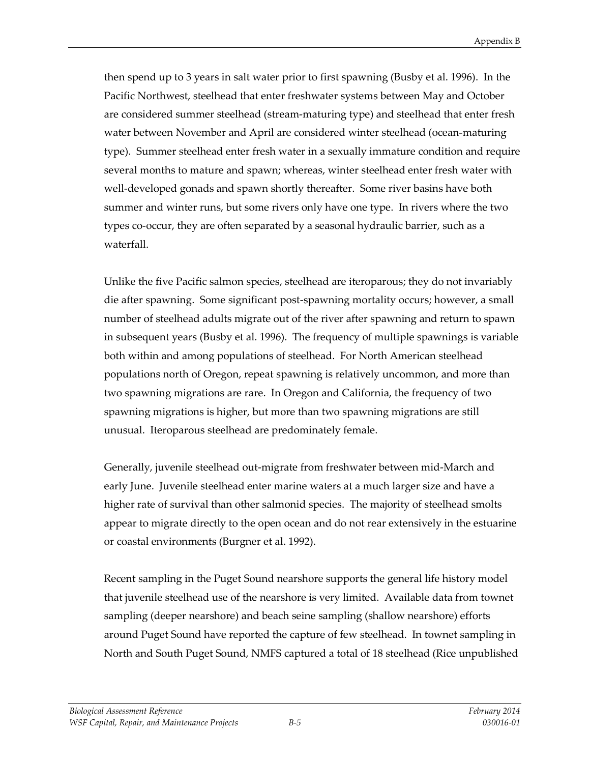then spend up to 3 years in salt water prior to first spawning (Busby et al. 1996). In the Pacific Northwest, steelhead that enter freshwater systems between May and October are considered summer steelhead (stream-maturing type) and steelhead that enter fresh water between November and April are considered winter steelhead (ocean-maturing type). Summer steelhead enter fresh water in a sexually immature condition and require several months to mature and spawn; whereas, winter steelhead enter fresh water with well-developed gonads and spawn shortly thereafter. Some river basins have both summer and winter runs, but some rivers only have one type. In rivers where the two types co-occur, they are often separated by a seasonal hydraulic barrier, such as a waterfall.

Unlike the five Pacific salmon species, steelhead are iteroparous; they do not invariably die after spawning. Some significant post-spawning mortality occurs; however, a small number of steelhead adults migrate out of the river after spawning and return to spawn in subsequent years (Busby et al. 1996). The frequency of multiple spawnings is variable both within and among populations of steelhead. For North American steelhead populations north of Oregon, repeat spawning is relatively uncommon, and more than two spawning migrations are rare. In Oregon and California, the frequency of two spawning migrations is higher, but more than two spawning migrations are still unusual. Iteroparous steelhead are predominately female.

Generally, juvenile steelhead out-migrate from freshwater between mid-March and early June. Juvenile steelhead enter marine waters at a much larger size and have a higher rate of survival than other salmonid species. The majority of steelhead smolts appear to migrate directly to the open ocean and do not rear extensively in the estuarine or coastal environments (Burgner et al. 1992).

Recent sampling in the Puget Sound nearshore supports the general life history model that juvenile steelhead use of the nearshore is very limited. Available data from townet sampling (deeper nearshore) and beach seine sampling (shallow nearshore) efforts around Puget Sound have reported the capture of few steelhead. In townet sampling in North and South Puget Sound, NMFS captured a total of 18 steelhead (Rice unpublished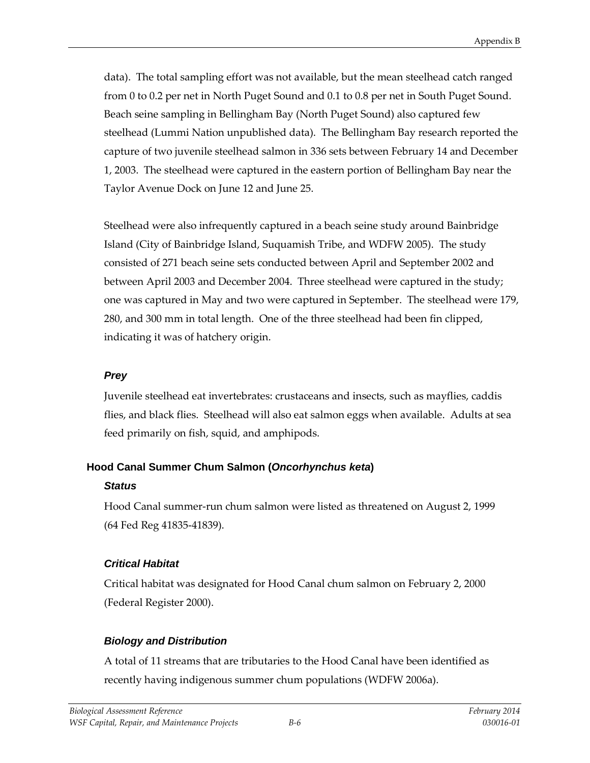data). The total sampling effort was not available, but the mean steelhead catch ranged from 0 to 0.2 per net in North Puget Sound and 0.1 to 0.8 per net in South Puget Sound. Beach seine sampling in Bellingham Bay (North Puget Sound) also captured few steelhead (Lummi Nation unpublished data). The Bellingham Bay research reported the capture of two juvenile steelhead salmon in 336 sets between February 14 and December 1, 2003. The steelhead were captured in the eastern portion of Bellingham Bay near the Taylor Avenue Dock on June 12 and June 25.

Steelhead were also infrequently captured in a beach seine study around Bainbridge Island (City of Bainbridge Island, Suquamish Tribe, and WDFW 2005). The study consisted of 271 beach seine sets conducted between April and September 2002 and between April 2003 and December 2004. Three steelhead were captured in the study; one was captured in May and two were captured in September. The steelhead were 179, 280, and 300 mm in total length. One of the three steelhead had been fin clipped, indicating it was of hatchery origin.

#### *Prey*

Juvenile steelhead eat invertebrates: crustaceans and insects, such as mayflies, caddis flies, and black flies. Steelhead will also eat salmon eggs when available. Adults at sea feed primarily on fish, squid, and amphipods.

#### **Hood Canal Summer Chum Salmon (***Oncorhynchus keta***)**

#### *Status*

Hood Canal summer-run chum salmon were listed as threatened on August 2, 1999 (64 Fed Reg 41835-41839).

# *Critical Habitat*

Critical habitat was designated for Hood Canal chum salmon on February 2, 2000 (Federal Register 2000).

# *Biology and Distribution*

A total of 11 streams that are tributaries to the Hood Canal have been identified as recently having indigenous summer chum populations (WDFW 2006a).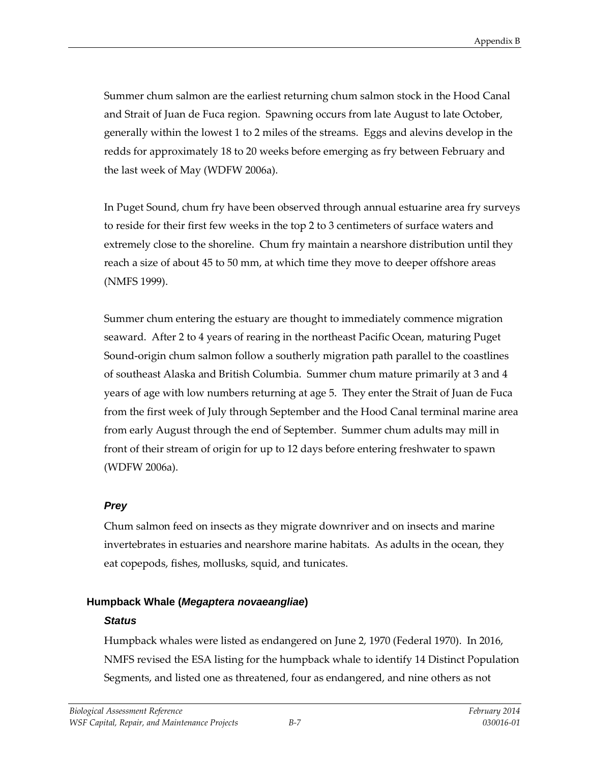Summer chum salmon are the earliest returning chum salmon stock in the Hood Canal and Strait of Juan de Fuca region. Spawning occurs from late August to late October, generally within the lowest 1 to 2 miles of the streams. Eggs and alevins develop in the redds for approximately 18 to 20 weeks before emerging as fry between February and the last week of May (WDFW 2006a).

In Puget Sound, chum fry have been observed through annual estuarine area fry surveys to reside for their first few weeks in the top 2 to 3 centimeters of surface waters and extremely close to the shoreline. Chum fry maintain a nearshore distribution until they reach a size of about 45 to 50 mm, at which time they move to deeper offshore areas (NMFS 1999).

Summer chum entering the estuary are thought to immediately commence migration seaward. After 2 to 4 years of rearing in the northeast Pacific Ocean, maturing Puget Sound-origin chum salmon follow a southerly migration path parallel to the coastlines of southeast Alaska and British Columbia. Summer chum mature primarily at 3 and 4 years of age with low numbers returning at age 5. They enter the Strait of Juan de Fuca from the first week of July through September and the Hood Canal terminal marine area from early August through the end of September. Summer chum adults may mill in front of their stream of origin for up to 12 days before entering freshwater to spawn (WDFW 2006a).

# *Prey*

Chum salmon feed on insects as they migrate downriver and on insects and marine invertebrates in estuaries and nearshore marine habitats. As adults in the ocean, they eat copepods, fishes, mollusks, squid, and tunicates.

# **Humpback Whale (***Megaptera novaeangliae***)**

# *Status*

Humpback whales were listed as endangered on June 2, 1970 (Federal 1970). In 2016, NMFS [revised the ESA listing for the humpback whale](https://www.federalregister.gov/articles/2016/09/08/2016-21276/endangered-and-threatened-species-identification-of-14-distinct-population-segments-of-humpback) to identify 14 Distinct Population Segments, and listed one as threatened, four as endangered, and nine others as not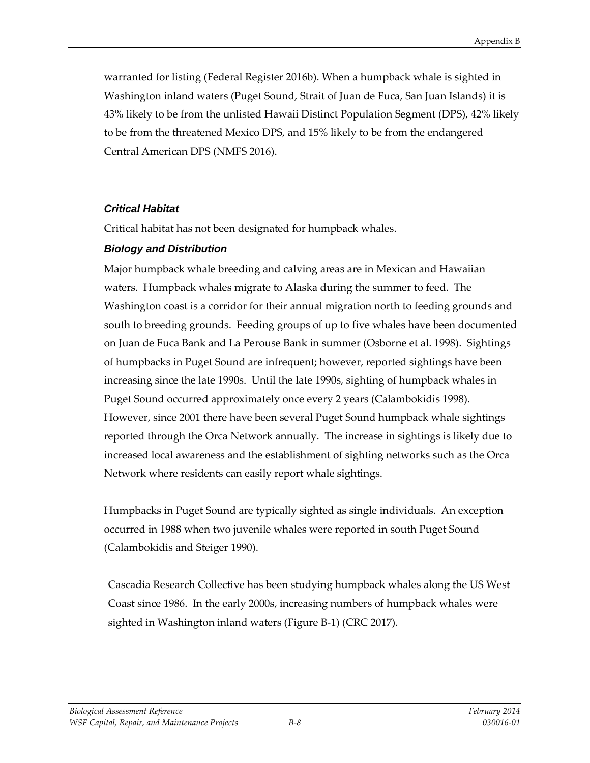warranted for listing (Federal Register 2016b). When a humpback whale is sighted in Washington inland waters (Puget Sound, Strait of Juan de Fuca, San Juan Islands) it is 43% likely to be from the unlisted Hawaii Distinct Population Segment (DPS), 42% likely to be from the threatened Mexico DPS, and 15% likely to be from the endangered Central American DPS (NMFS 2016).

# *Critical Habitat*

Critical habitat has not been designated for humpback whales.

# *Biology and Distribution*

Major humpback whale breeding and calving areas are in Mexican and Hawaiian waters. Humpback whales migrate to Alaska during the summer to feed. The Washington coast is a corridor for their annual migration north to feeding grounds and south to breeding grounds. Feeding groups of up to five whales have been documented on Juan de Fuca Bank and La Perouse Bank in summer (Osborne et al. 1998). Sightings of humpbacks in Puget Sound are infrequent; however, reported sightings have been increasing since the late 1990s. Until the late 1990s, sighting of humpback whales in Puget Sound occurred approximately once every 2 years (Calambokidis 1998). However, since 2001 there have been several Puget Sound humpback whale sightings reported through the Orca Network annually. The increase in sightings is likely due to increased local awareness and the establishment of sighting networks such as the Orca Network where residents can easily report whale sightings.

Humpbacks in Puget Sound are typically sighted as single individuals. An exception occurred in 1988 when two juvenile whales were reported in south Puget Sound (Calambokidis and Steiger 1990).

Cascadia Research Collective has been studying humpback whales along the US West Coast since 1986. In the early 2000s, increasing numbers of humpback whales were sighted in Washington inland waters (Figure B-1) (CRC 2017).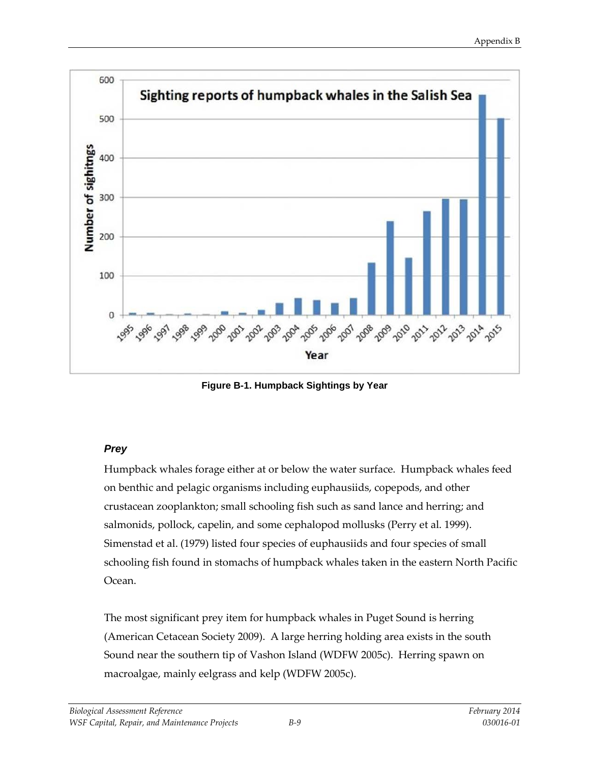

**Figure B-1. Humpback Sightings by Year**

# *Prey*

Humpback whales forage either at or below the water surface. Humpback whales feed on benthic and pelagic organisms including euphausiids, copepods, and other crustacean zooplankton; small schooling fish such as sand lance and herring; and salmonids, pollock, capelin, and some cephalopod mollusks (Perry et al. 1999). Simenstad et al. (1979) listed four species of euphausiids and four species of small schooling fish found in stomachs of humpback whales taken in the eastern North Pacific Ocean.

The most significant prey item for humpback whales in Puget Sound is herring (American Cetacean Society 2009). A large herring holding area exists in the south Sound near the southern tip of Vashon Island (WDFW 2005c). Herring spawn on macroalgae, mainly eelgrass and kelp (WDFW 2005c).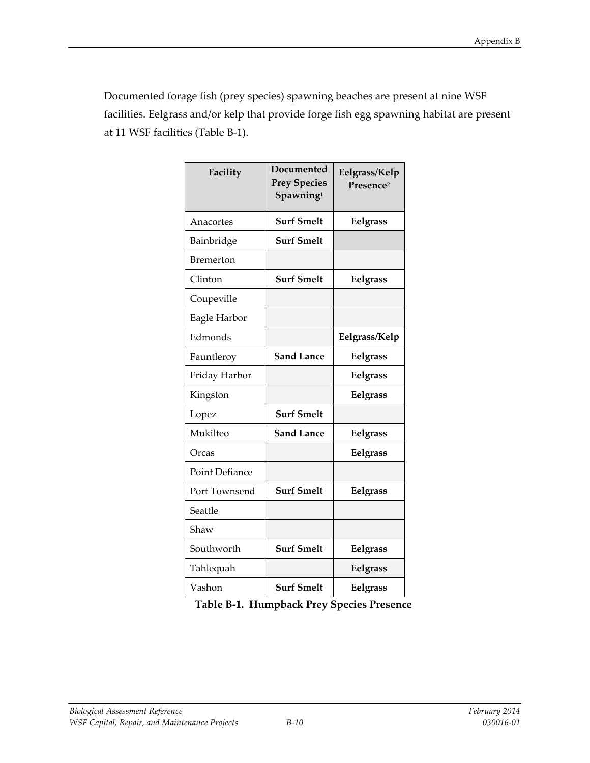Documented forage fish (prey species) spawning beaches are present at nine WSF facilities. Eelgrass and/or kelp that provide forge fish egg spawning habitat are present at 11 WSF facilities (Table B-1).

| Facility              | Documented<br><b>Prey Species</b><br>Spawning <sup>1</sup> | Eelgrass/Kelp<br>Presence <sup>2</sup> |
|-----------------------|------------------------------------------------------------|----------------------------------------|
| Anacortes             | <b>Surf Smelt</b>                                          | Eelgrass                               |
| Bainbridge            | <b>Surf Smelt</b>                                          |                                        |
| Bremerton             |                                                            |                                        |
| Clinton               | <b>Surf Smelt</b>                                          | Eelgrass                               |
| Coupeville            |                                                            |                                        |
| Eagle Harbor          |                                                            |                                        |
| Edmonds               |                                                            | Eelgrass/Kelp                          |
| Fauntleroy            | <b>Sand Lance</b>                                          | Eelgrass                               |
| Friday Harbor         |                                                            | Eelgrass                               |
| Kingston              |                                                            | Eelgrass                               |
| Lopez                 | <b>Surf Smelt</b>                                          |                                        |
| Mukilteo              | <b>Sand Lance</b>                                          | Eelgrass                               |
| Orcas                 |                                                            | Eelgrass                               |
| <b>Point Defiance</b> |                                                            |                                        |
| Port Townsend         | <b>Surf Smelt</b>                                          | Eelgrass                               |
| Seattle               |                                                            |                                        |
| Shaw                  |                                                            |                                        |
| Southworth            | <b>Surf Smelt</b>                                          | Eelgrass                               |
| Tahlequah             |                                                            | Eelgrass                               |
| Vashon                | <b>Surf Smelt</b>                                          | Eelgrass                               |

| Table B-1. Humpback Prey Species Presence |  |  |  |  |  |
|-------------------------------------------|--|--|--|--|--|
|-------------------------------------------|--|--|--|--|--|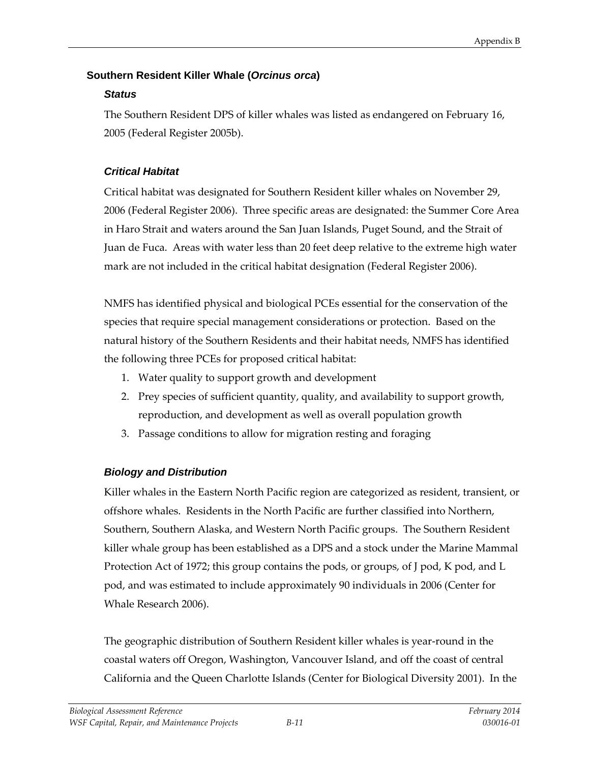# **Southern Resident Killer Whale (***Orcinus orca***)**

# *Status*

The Southern Resident DPS of killer whales was listed as endangered on February 16, 2005 (Federal Register 2005b).

# *Critical Habitat*

Critical habitat was designated for Southern Resident killer whales on November 29, 2006 (Federal Register 2006). Three specific areas are designated: the Summer Core Area in Haro Strait and waters around the San Juan Islands, Puget Sound, and the Strait of Juan de Fuca. Areas with water less than 20 feet deep relative to the extreme high water mark are not included in the critical habitat designation (Federal Register 2006).

NMFS has identified physical and biological PCEs essential for the conservation of the species that require special management considerations or protection. Based on the natural history of the Southern Residents and their habitat needs, NMFS has identified the following three PCEs for proposed critical habitat:

- 1. Water quality to support growth and development
- 2. Prey species of sufficient quantity, quality, and availability to support growth, reproduction, and development as well as overall population growth
- 3. Passage conditions to allow for migration resting and foraging

# *Biology and Distribution*

Killer whales in the Eastern North Pacific region are categorized as resident, transient, or offshore whales. Residents in the North Pacific are further classified into Northern, Southern, Southern Alaska, and Western North Pacific groups. The Southern Resident killer whale group has been established as a DPS and a stock under the Marine Mammal Protection Act of 1972; this group contains the pods, or groups, of J pod, K pod, and L pod, and was estimated to include approximately 90 individuals in 2006 (Center for Whale Research 2006).

The geographic distribution of Southern Resident killer whales is year-round in the coastal waters off Oregon, Washington, Vancouver Island, and off the coast of central California and the Queen Charlotte Islands (Center for Biological Diversity 2001). In the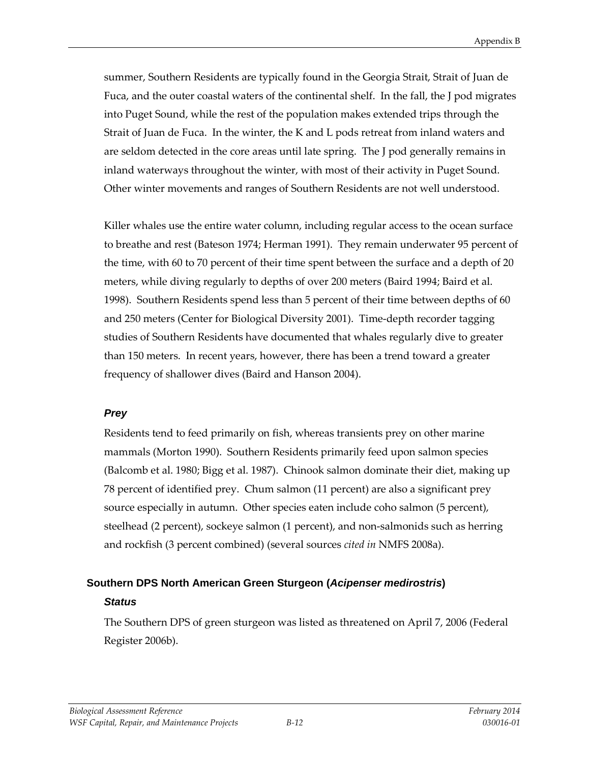summer, Southern Residents are typically found in the Georgia Strait, Strait of Juan de Fuca, and the outer coastal waters of the continental shelf. In the fall, the J pod migrates into Puget Sound, while the rest of the population makes extended trips through the Strait of Juan de Fuca. In the winter, the K and L pods retreat from inland waters and are seldom detected in the core areas until late spring. The J pod generally remains in inland waterways throughout the winter, with most of their activity in Puget Sound. Other winter movements and ranges of Southern Residents are not well understood.

Killer whales use the entire water column, including regular access to the ocean surface to breathe and rest (Bateson 1974; Herman 1991). They remain underwater 95 percent of the time, with 60 to 70 percent of their time spent between the surface and a depth of 20 meters, while diving regularly to depths of over 200 meters (Baird 1994; Baird et al. 1998). Southern Residents spend less than 5 percent of their time between depths of 60 and 250 meters (Center for Biological Diversity 2001). Time-depth recorder tagging studies of Southern Residents have documented that whales regularly dive to greater than 150 meters. In recent years, however, there has been a trend toward a greater frequency of shallower dives (Baird and Hanson 2004).

#### *Prey*

Residents tend to feed primarily on fish, whereas transients prey on other marine mammals (Morton 1990). Southern Residents primarily feed upon salmon species (Balcomb et al. 1980; Bigg et al. 1987). Chinook salmon dominate their diet, making up 78 percent of identified prey. Chum salmon (11 percent) are also a significant prey source especially in autumn. Other species eaten include coho salmon (5 percent), steelhead (2 percent), sockeye salmon (1 percent), and non-salmonids such as herring and rockfish (3 percent combined) (several sources *cited in* NMFS 2008a).

# **Southern DPS North American Green Sturgeon (***Acipenser medirostris***)**

#### *Status*

The Southern DPS of green sturgeon was listed as threatened on April 7, 2006 (Federal Register 2006b).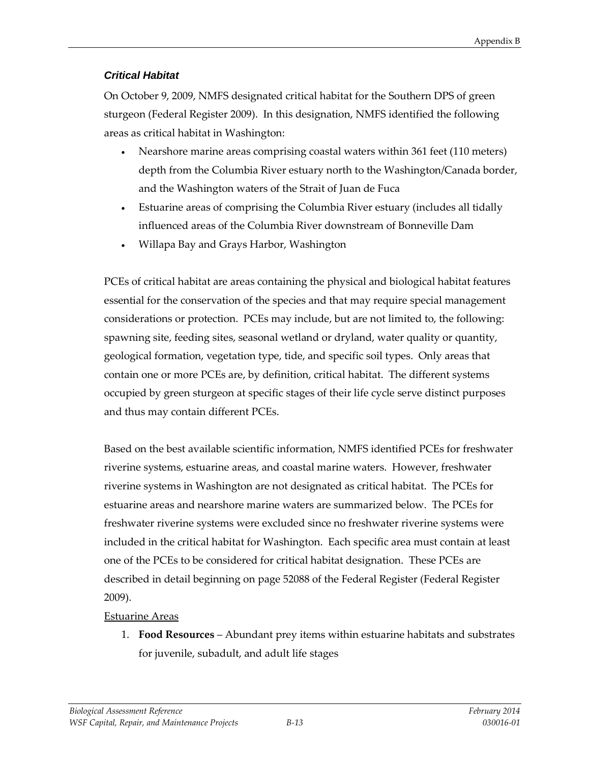# *Critical Habitat*

On October 9, 2009, NMFS designated critical habitat for the Southern DPS of green sturgeon (Federal Register 2009). In this designation, NMFS identified the following areas as critical habitat in Washington:

- Nearshore marine areas comprising coastal waters within 361 feet (110 meters) depth from the Columbia River estuary north to the Washington/Canada border, and the Washington waters of the Strait of Juan de Fuca
- Estuarine areas of comprising the Columbia River estuary (includes all tidally influenced areas of the Columbia River downstream of Bonneville Dam
- Willapa Bay and Grays Harbor, Washington

PCEs of critical habitat are areas containing the physical and biological habitat features essential for the conservation of the species and that may require special management considerations or protection. PCEs may include, but are not limited to, the following: spawning site, feeding sites, seasonal wetland or dryland, water quality or quantity, geological formation, vegetation type, tide, and specific soil types. Only areas that contain one or more PCEs are, by definition, critical habitat. The different systems occupied by green sturgeon at specific stages of their life cycle serve distinct purposes and thus may contain different PCEs.

Based on the best available scientific information, NMFS identified PCEs for freshwater riverine systems, estuarine areas, and coastal marine waters. However, freshwater riverine systems in Washington are not designated as critical habitat. The PCEs for estuarine areas and nearshore marine waters are summarized below. The PCEs for freshwater riverine systems were excluded since no freshwater riverine systems were included in the critical habitat for Washington. Each specific area must contain at least one of the PCEs to be considered for critical habitat designation. These PCEs are described in detail beginning on page 52088 of the Federal Register (Federal Register 2009).

# Estuarine Areas

1. **Food Resources** – Abundant prey items within estuarine habitats and substrates for juvenile, subadult, and adult life stages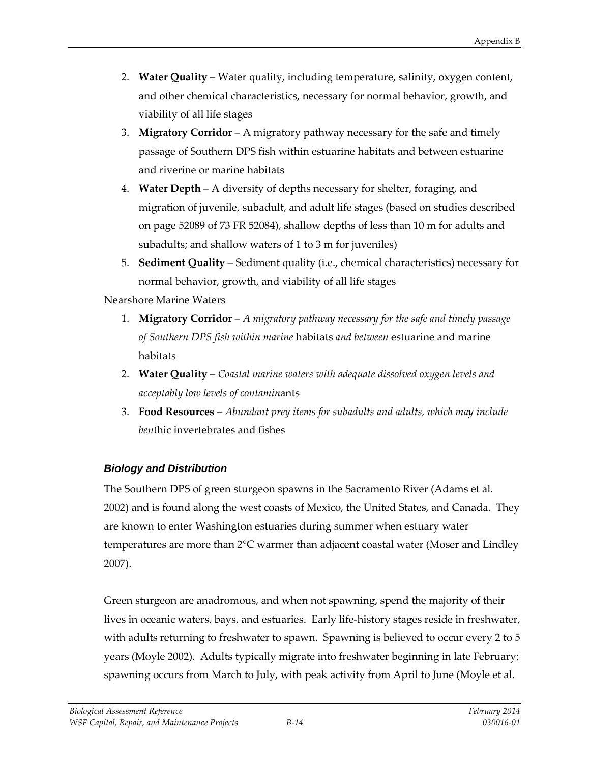- 2. **Water Quality** Water quality, including temperature, salinity, oxygen content, and other chemical characteristics, necessary for normal behavior, growth, and viability of all life stages
- 3. **Migratory Corridor** A migratory pathway necessary for the safe and timely passage of Southern DPS fish within estuarine habitats and between estuarine and riverine or marine habitats
- 4. **Water Depth** A diversity of depths necessary for shelter, foraging, and migration of juvenile, subadult, and adult life stages (based on studies described on page 52089 of 73 FR 52084), shallow depths of less than 10 m for adults and subadults; and shallow waters of 1 to 3 m for juveniles)
- 5. **Sediment Quality** Sediment quality (i.e., chemical characteristics) necessary for normal behavior, growth, and viability of all life stages

#### Nearshore Marine Waters

- 1. **Migratory Corridor** *A migratory pathway necessary for the safe and timely passage of Southern DPS fish within marine* habitats *and between* estuarine and marine habitats
- 2. **Water Quality** *Coastal marine waters with adequate dissolved oxygen levels and acceptably low levels of contamin*ants
- 3. **Food Resources** *Abundant prey items for subadults and adults, which may include ben*thic invertebrates and fishes

# *Biology and Distribution*

The Southern DPS of green sturgeon spawns in the Sacramento River (Adams et al. 2002) and is found along the west coasts of Mexico, the United States, and Canada. They are known to enter Washington estuaries during summer when estuary water temperatures are more than 2°C warmer than adjacent coastal water (Moser and Lindley 2007).

Green sturgeon are anadromous, and when not spawning, spend the majority of their lives in oceanic waters, bays, and estuaries. Early life-history stages reside in freshwater, with adults returning to freshwater to spawn. Spawning is believed to occur every 2 to 5 years (Moyle 2002). Adults typically migrate into freshwater beginning in late February; spawning occurs from March to July, with peak activity from April to June (Moyle et al.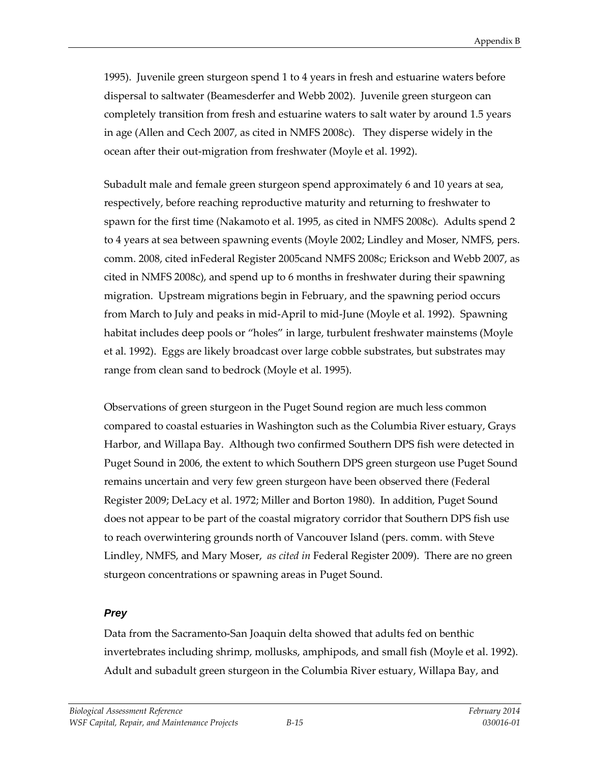1995). Juvenile green sturgeon spend 1 to 4 years in fresh and estuarine waters before dispersal to saltwater (Beamesderfer and Webb 2002). Juvenile green sturgeon can completely transition from fresh and estuarine waters to salt water by around 1.5 years in age (Allen and Cech 2007, as cited in NMFS 2008c). They disperse widely in the ocean after their out-migration from freshwater (Moyle et al. 1992).

Subadult male and female green sturgeon spend approximately 6 and 10 years at sea, respectively, before reaching reproductive maturity and returning to freshwater to spawn for the first time (Nakamoto et al. 1995, as cited in NMFS 2008c). Adults spend 2 to 4 years at sea between spawning events (Moyle 2002; Lindley and Moser, NMFS, pers. comm. 2008, cited inFederal Register 2005cand NMFS 2008c; Erickson and Webb 2007, as cited in NMFS 2008c), and spend up to 6 months in freshwater during their spawning migration. Upstream migrations begin in February, and the spawning period occurs from March to July and peaks in mid-April to mid-June (Moyle et al. 1992). Spawning habitat includes deep pools or "holes" in large, turbulent freshwater mainstems (Moyle et al. 1992). Eggs are likely broadcast over large cobble substrates, but substrates may range from clean sand to bedrock (Moyle et al. 1995).

Observations of green sturgeon in the Puget Sound region are much less common compared to coastal estuaries in Washington such as the Columbia River estuary, Grays Harbor, and Willapa Bay. Although two confirmed Southern DPS fish were detected in Puget Sound in 2006, the extent to which Southern DPS green sturgeon use Puget Sound remains uncertain and very few green sturgeon have been observed there (Federal Register 2009; DeLacy et al. 1972; Miller and Borton 1980). In addition, Puget Sound does not appear to be part of the coastal migratory corridor that Southern DPS fish use to reach overwintering grounds north of Vancouver Island (pers. comm. with Steve Lindley, NMFS, and Mary Moser, *as cited in* Federal Register 2009). There are no green sturgeon concentrations or spawning areas in Puget Sound.

#### *Prey*

Data from the Sacramento-San Joaquin delta showed that adults fed on benthic invertebrates including shrimp, mollusks, amphipods, and small fish (Moyle et al. 1992). Adult and subadult green sturgeon in the Columbia River estuary, Willapa Bay, and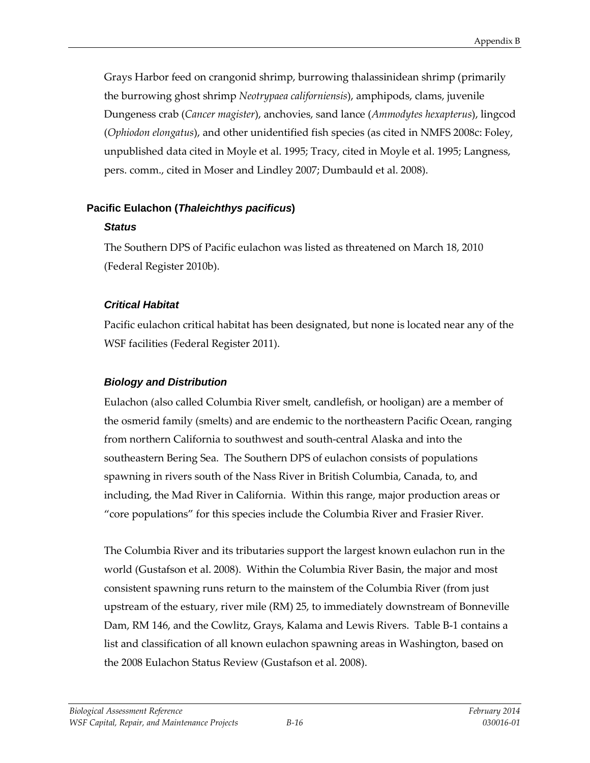Grays Harbor feed on crangonid shrimp, burrowing thalassinidean shrimp (primarily the burrowing ghost shrimp *Neotrypaea californiensis*), amphipods, clams, juvenile Dungeness crab (*Cancer magister*), anchovies, sand lance (*Ammodytes hexapterus*), lingcod (*Ophiodon elongatus*), and other unidentified fish species (as cited in NMFS 2008c: Foley, unpublished data cited in Moyle et al. 1995; Tracy, cited in Moyle et al. 1995; Langness, pers. comm., cited in Moser and Lindley 2007; Dumbauld et al. 2008).

# **Pacific Eulachon (***Thaleichthys pacificus***)**

# *Status*

The Southern DPS of Pacific eulachon was listed as threatened on March 18, 2010 (Federal Register 2010b).

# *Critical Habitat*

Pacific eulachon critical habitat has been designated, but none is located near any of the WSF facilities (Federal Register 2011).

# *Biology and Distribution*

Eulachon (also called Columbia River smelt, candlefish, or hooligan) are a member of the osmerid family (smelts) and are endemic to the northeastern Pacific Ocean, ranging from northern California to southwest and south-central Alaska and into the southeastern Bering Sea. The Southern DPS of eulachon consists of populations spawning in rivers south of the Nass River in British Columbia, Canada, to, and including, the Mad River in California. Within this range, major production areas or "core populations" for this species include the Columbia River and Frasier River.

The Columbia River and its tributaries support the largest known eulachon run in the world (Gustafson et al. 2008). Within the Columbia River Basin, the major and most consistent spawning runs return to the mainstem of the Columbia River (from just upstream of the estuary, river mile (RM) 25, to immediately downstream of Bonneville Dam, RM 146, and the Cowlitz, Grays, Kalama and Lewis Rivers. Table B-1 contains a list and classification of all known eulachon spawning areas in Washington, based on the 2008 Eulachon Status Review (Gustafson et al. 2008).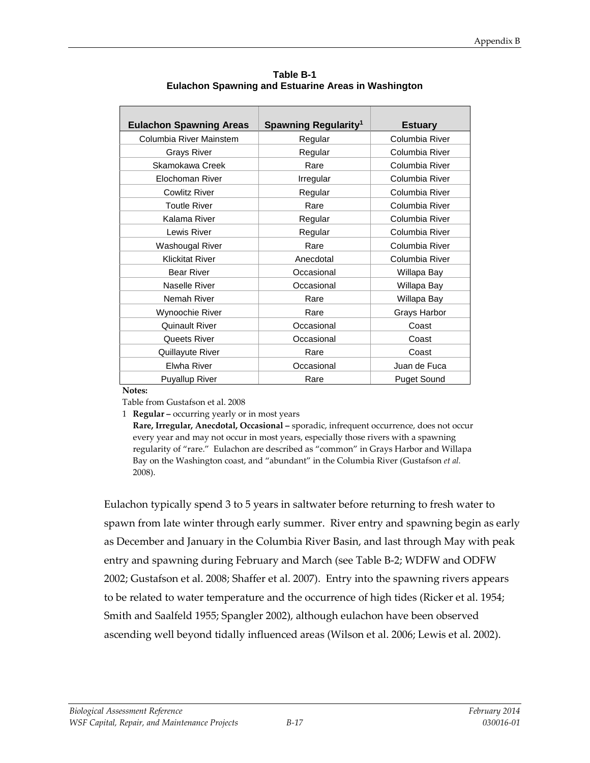| <b>Eulachon Spawning Areas</b> | Spawning Regularity <sup>1</sup> | <b>Estuary</b>     |
|--------------------------------|----------------------------------|--------------------|
| Columbia River Mainstem        | Regular                          | Columbia River     |
| <b>Grays River</b>             | Regular                          | Columbia River     |
| Skamokawa Creek                | Rare                             | Columbia River     |
| Elochoman River                | Irregular                        | Columbia River     |
| Cowlitz River                  | Regular                          | Columbia River     |
| <b>Toutle River</b>            | Rare                             | Columbia River     |
| Kalama River                   | Regular                          | Columbia River     |
| Lewis River                    | Regular                          | Columbia River     |
| Washougal River                | Rare                             | Columbia River     |
| <b>Klickitat River</b>         | Anecdotal                        | Columbia River     |
| <b>Bear River</b>              | Occasional                       | Willapa Bay        |
| Naselle River                  | Occasional                       | Willapa Bay        |
| Nemah River                    | Rare                             | Willapa Bay        |
| Wynoochie River                | Rare                             | Grays Harbor       |
| Quinault River                 | Occasional                       | Coast              |
| Queets River                   | Occasional                       | Coast              |
| Quillayute River               | Rare                             | Coast              |
| Elwha River                    | Occasional                       | Juan de Fuca       |
| <b>Puyallup River</b>          | Rare                             | <b>Puget Sound</b> |

**Table B-1 Eulachon Spawning and Estuarine Areas in Washington**

#### **Notes:**

Table from Gustafson et al. 2008

1 **Regular –** occurring yearly or in most years

**Rare, Irregular, Anecdotal, Occasional –** sporadic, infrequent occurrence, does not occur every year and may not occur in most years, especially those rivers with a spawning regularity of "rare." Eulachon are described as "common" in Grays Harbor and Willapa Bay on the Washington coast, and "abundant" in the Columbia River (Gustafson *et al.* 2008).

Eulachon typically spend 3 to 5 years in saltwater before returning to fresh water to spawn from late winter through early summer. River entry and spawning begin as early as December and January in the Columbia River Basin, and last through May with peak entry and spawning during February and March (see Table B-2; WDFW and ODFW 2002; Gustafson et al. 2008; Shaffer et al. 2007). Entry into the spawning rivers appears to be related to water temperature and the occurrence of high tides (Ricker et al. 1954; Smith and Saalfeld 1955; Spangler 2002), although eulachon have been observed ascending well beyond tidally influenced areas (Wilson et al. 2006; Lewis et al. 2002).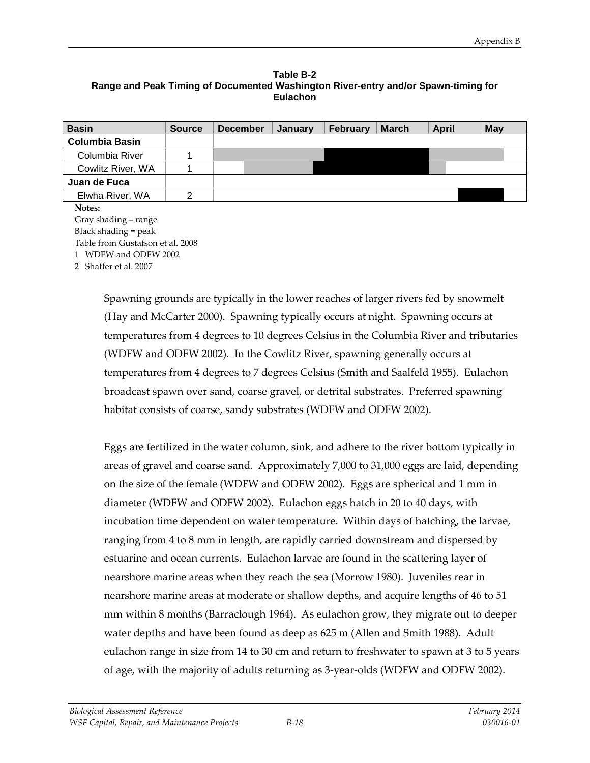#### **Table B-2 Range and Peak Timing of Documented Washington River-entry and/or Spawn-timing for Eulachon**

| <b>Basin</b>          | <b>Source</b> | <b>December</b> | Januarv | <b>February</b> | <b>March</b> | <b>April</b> | May |
|-----------------------|---------------|-----------------|---------|-----------------|--------------|--------------|-----|
| <b>Columbia Basin</b> |               |                 |         |                 |              |              |     |
| Columbia River        |               |                 |         |                 |              |              |     |
| Cowlitz River, WA     |               |                 |         |                 |              |              |     |
| Juan de Fuca          |               |                 |         |                 |              |              |     |
| Elwha River, WA       |               |                 |         |                 |              |              |     |
| Notes:                |               |                 |         |                 |              |              |     |

Gray shading = range Black shading = peak Table from Gustafson et al. 2008

1 WDFW and ODFW 2002

2 Shaffer et al. 2007

Spawning grounds are typically in the lower reaches of larger rivers fed by snowmelt (Hay and McCarter 2000). Spawning typically occurs at night. Spawning occurs at temperatures from 4 degrees to 10 degrees Celsius in the Columbia River and tributaries (WDFW and ODFW 2002). In the Cowlitz River, spawning generally occurs at temperatures from 4 degrees to 7 degrees Celsius (Smith and Saalfeld 1955). Eulachon broadcast spawn over sand, coarse gravel, or detrital substrates. Preferred spawning habitat consists of coarse, sandy substrates (WDFW and ODFW 2002).

Eggs are fertilized in the water column, sink, and adhere to the river bottom typically in areas of gravel and coarse sand. Approximately 7,000 to 31,000 eggs are laid, depending on the size of the female (WDFW and ODFW 2002). Eggs are spherical and 1 mm in diameter (WDFW and ODFW 2002). Eulachon eggs hatch in 20 to 40 days, with incubation time dependent on water temperature. Within days of hatching, the larvae, ranging from 4 to 8 mm in length, are rapidly carried downstream and dispersed by estuarine and ocean currents. Eulachon larvae are found in the scattering layer of nearshore marine areas when they reach the sea (Morrow 1980). Juveniles rear in nearshore marine areas at moderate or shallow depths, and acquire lengths of 46 to 51 mm within 8 months (Barraclough 1964). As eulachon grow, they migrate out to deeper water depths and have been found as deep as 625 m (Allen and Smith 1988). Adult eulachon range in size from 14 to 30 cm and return to freshwater to spawn at 3 to 5 years of age, with the majority of adults returning as 3-year-olds (WDFW and ODFW 2002).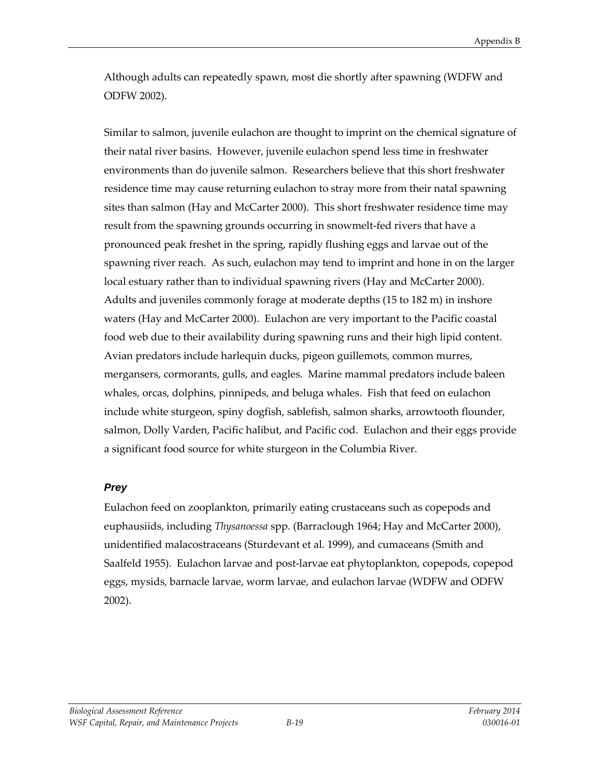Although adults can repeatedly spawn, most die shortly after spawning (WDFW and ODFW 2002).

Similar to salmon, juvenile eulachon are thought to imprint on the chemical signature of their natal river basins. However, juvenile eulachon spend less time in freshwater environments than do juvenile salmon. Researchers believe that this short freshwater residence time may cause returning eulachon to stray more from their natal spawning sites than salmon (Hay and McCarter 2000). This short freshwater residence time may result from the spawning grounds occurring in snowmelt-fed rivers that have a pronounced peak freshet in the spring, rapidly flushing eggs and larvae out of the spawning river reach. As such, eulachon may tend to imprint and hone in on the larger local estuary rather than to individual spawning rivers (Hay and McCarter 2000). Adults and juveniles commonly forage at moderate depths (15 to 182 m) in inshore waters (Hay and McCarter 2000). Eulachon are very important to the Pacific coastal food web due to their availability during spawning runs and their high lipid content. Avian predators include harlequin ducks, pigeon guillemots, common murres, mergansers, cormorants, gulls, and eagles. Marine mammal predators include baleen whales, orcas, dolphins, pinnipeds, and beluga whales. Fish that feed on eulachon include white sturgeon, spiny dogfish, sablefish, salmon sharks, arrowtooth flounder, salmon, Dolly Varden, Pacific halibut, and Pacific cod. Eulachon and their eggs provide a significant food source for white sturgeon in the Columbia River.

#### *Prey*

Eulachon feed on zooplankton, primarily eating crustaceans such as copepods and euphausiids, including *Thysanoessa* spp. (Barraclough 1964; Hay and McCarter 2000), unidentified malacostraceans (Sturdevant et al. 1999), and cumaceans (Smith and Saalfeld 1955). Eulachon larvae and post-larvae eat phytoplankton, copepods, copepod eggs, mysids, barnacle larvae, worm larvae, and eulachon larvae (WDFW and ODFW 2002).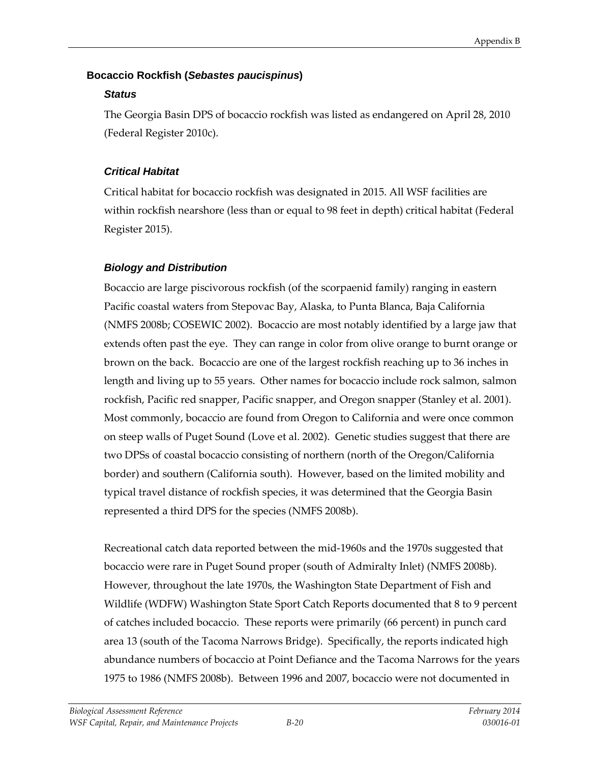# **Bocaccio Rockfish (***Sebastes paucispinus***)**

# *Status*

The Georgia Basin DPS of bocaccio rockfish was listed as endangered on April 28, 2010 (Federal Register 2010c).

# *Critical Habitat*

Critical habitat for bocaccio rockfish was designated in 2015. All WSF facilities are within rockfish nearshore (less than or equal to 98 feet in depth) critical habitat (Federal Register 2015).

# *Biology and Distribution*

Bocaccio are large piscivorous rockfish (of the scorpaenid family) ranging in eastern Pacific coastal waters from Stepovac Bay, Alaska, to Punta Blanca, Baja California (NMFS 2008b; COSEWIC 2002). Bocaccio are most notably identified by a large jaw that extends often past the eye. They can range in color from olive orange to burnt orange or brown on the back. Bocaccio are one of the largest rockfish reaching up to 36 inches in length and living up to 55 years. Other names for bocaccio include rock salmon, salmon rockfish, Pacific red snapper, Pacific snapper, and Oregon snapper (Stanley et al. 2001). Most commonly, bocaccio are found from Oregon to California and were once common on steep walls of Puget Sound (Love et al. 2002). Genetic studies suggest that there are two DPSs of coastal bocaccio consisting of northern (north of the Oregon/California border) and southern (California south). However, based on the limited mobility and typical travel distance of rockfish species, it was determined that the Georgia Basin represented a third DPS for the species (NMFS 2008b).

Recreational catch data reported between the mid-1960s and the 1970s suggested that bocaccio were rare in Puget Sound proper (south of Admiralty Inlet) (NMFS 2008b). However, throughout the late 1970s, the Washington State Department of Fish and Wildlife (WDFW) Washington State Sport Catch Reports documented that 8 to 9 percent of catches included bocaccio. These reports were primarily (66 percent) in punch card area 13 (south of the Tacoma Narrows Bridge). Specifically, the reports indicated high abundance numbers of bocaccio at Point Defiance and the Tacoma Narrows for the years 1975 to 1986 (NMFS 2008b). Between 1996 and 2007, bocaccio were not documented in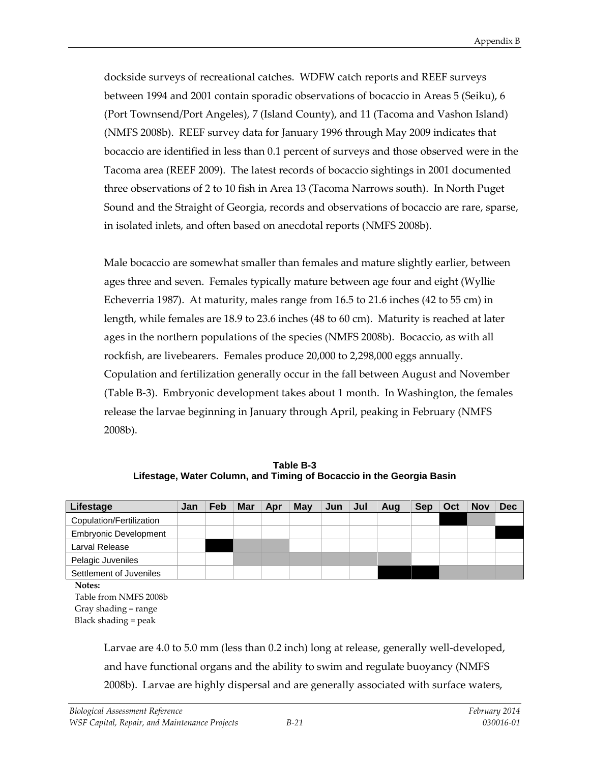dockside surveys of recreational catches. WDFW catch reports and REEF surveys between 1994 and 2001 contain sporadic observations of bocaccio in Areas 5 (Seiku), 6 (Port Townsend/Port Angeles), 7 (Island County), and 11 (Tacoma and Vashon Island) (NMFS 2008b). REEF survey data for January 1996 through May 2009 indicates that bocaccio are identified in less than 0.1 percent of surveys and those observed were in the Tacoma area (REEF 2009). The latest records of bocaccio sightings in 2001 documented three observations of 2 to 10 fish in Area 13 (Tacoma Narrows south). In North Puget Sound and the Straight of Georgia, records and observations of bocaccio are rare, sparse, in isolated inlets, and often based on anecdotal reports (NMFS 2008b).

Male bocaccio are somewhat smaller than females and mature slightly earlier, between ages three and seven. Females typically mature between age four and eight (Wyllie Echeverria 1987). At maturity, males range from 16.5 to 21.6 inches (42 to 55 cm) in length, while females are 18.9 to 23.6 inches (48 to 60 cm). Maturity is reached at later ages in the northern populations of the species (NMFS 2008b). Bocaccio, as with all rockfish, are livebearers. Females produce 20,000 to 2,298,000 eggs annually. Copulation and fertilization generally occur in the fall between August and November (Table B-3). Embryonic development takes about 1 month. In Washington, the females release the larvae beginning in January through April, peaking in February (NMFS 2008b).

**Table B-3 Lifestage, Water Column, and Timing of Bocaccio in the Georgia Basin** 

| Lifestage                    | Jan | Feb | Mar | Apr | May | Jun | Jul | Aug | <b>Sep</b> | Oct | <b>Nov</b> | <b>Dec</b> |
|------------------------------|-----|-----|-----|-----|-----|-----|-----|-----|------------|-----|------------|------------|
| Copulation/Fertilization     |     |     |     |     |     |     |     |     |            |     |            |            |
| <b>Embryonic Development</b> |     |     |     |     |     |     |     |     |            |     |            |            |
| Larval Release               |     |     |     |     |     |     |     |     |            |     |            |            |
| Pelagic Juveniles            |     |     |     |     |     |     |     |     |            |     |            |            |
| Settlement of Juveniles      |     |     |     |     |     |     |     |     |            |     |            |            |
| Notes:                       |     |     |     |     |     |     |     |     |            |     |            |            |
| $T11C \cdot \text{N1}T20001$ |     |     |     |     |     |     |     |     |            |     |            |            |

Table from NMFS 2008b Gray shading = range Black shading = peak

> Larvae are 4.0 to 5.0 mm (less than 0.2 inch) long at release, generally well-developed, and have functional organs and the ability to swim and regulate buoyancy (NMFS 2008b). Larvae are highly dispersal and are generally associated with surface waters,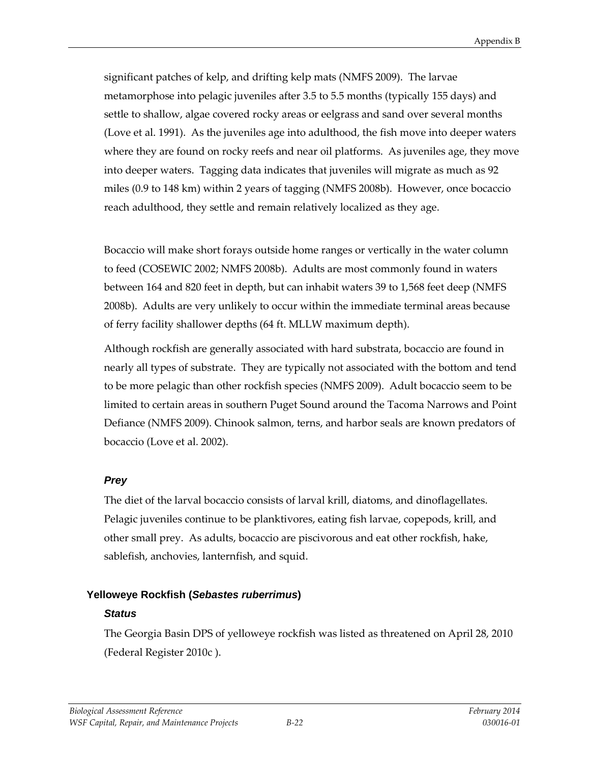significant patches of kelp, and drifting kelp mats (NMFS 2009). The larvae metamorphose into pelagic juveniles after 3.5 to 5.5 months (typically 155 days) and settle to shallow, algae covered rocky areas or eelgrass and sand over several months (Love et al. 1991). As the juveniles age into adulthood, the fish move into deeper waters where they are found on rocky reefs and near oil platforms. As juveniles age, they move into deeper waters. Tagging data indicates that juveniles will migrate as much as 92 miles (0.9 to 148 km) within 2 years of tagging (NMFS 2008b). However, once bocaccio reach adulthood, they settle and remain relatively localized as they age.

Bocaccio will make short forays outside home ranges or vertically in the water column to feed (COSEWIC 2002; NMFS 2008b). Adults are most commonly found in waters between 164 and 820 feet in depth, but can inhabit waters 39 to 1,568 feet deep (NMFS 2008b). Adults are very unlikely to occur within the immediate terminal areas because of ferry facility shallower depths (64 ft. MLLW maximum depth).

Although rockfish are generally associated with hard substrata, bocaccio are found in nearly all types of substrate. They are typically not associated with the bottom and tend to be more pelagic than other rockfish species (NMFS 2009). Adult bocaccio seem to be limited to certain areas in southern Puget Sound around the Tacoma Narrows and Point Defiance (NMFS 2009). Chinook salmon, terns, and harbor seals are known predators of bocaccio (Love et al. 2002).

# *Prey*

The diet of the larval bocaccio consists of larval krill, diatoms, and dinoflagellates. Pelagic juveniles continue to be planktivores, eating fish larvae, copepods, krill, and other small prey. As adults, bocaccio are piscivorous and eat other rockfish, hake, sablefish, anchovies, lanternfish, and squid.

#### **Yelloweye Rockfish (***Sebastes ruberrimus***)**

# *Status*

The Georgia Basin DPS of yelloweye rockfish was listed as threatened on April 28, 2010 (Federal Register 2010c ).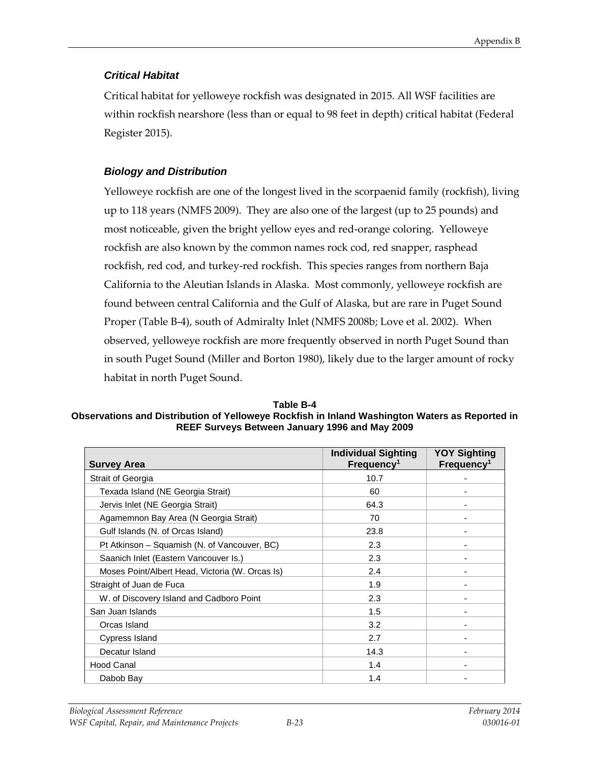## *Critical Habitat*

Critical habitat for yelloweye rockfish was designated in 2015. All WSF facilities are within rockfish nearshore (less than or equal to 98 feet in depth) critical habitat (Federal Register 2015).

# *Biology and Distribution*

Yelloweye rockfish are one of the longest lived in the scorpaenid family (rockfish), living up to 118 years (NMFS 2009). They are also one of the largest (up to 25 pounds) and most noticeable, given the bright yellow eyes and red-orange coloring. Yelloweye rockfish are also known by the common names rock cod, red snapper, rasphead rockfish, red cod, and turkey-red rockfish. This species ranges from northern Baja California to the Aleutian Islands in Alaska. Most commonly, yelloweye rockfish are found between central California and the Gulf of Alaska, but are rare in Puget Sound Proper (Table B-4), south of Admiralty Inlet (NMFS 2008b; Love et al. 2002). When observed, yelloweye rockfish are more frequently observed in north Puget Sound than in south Puget Sound (Miller and Borton 1980), likely due to the larger amount of rocky habitat in north Puget Sound.

| Table B-4                                                                                      |
|------------------------------------------------------------------------------------------------|
| Observations and Distribution of Yelloweye Rockfish in Inland Washington Waters as Reported in |
| REEF Surveys Between January 1996 and May 2009                                                 |

| <b>Survey Area</b>                              | <b>Individual Sighting</b><br>Frequency <sup>1</sup> | <b>YOY Sighting</b><br>Frequency <sup>1</sup> |
|-------------------------------------------------|------------------------------------------------------|-----------------------------------------------|
| Strait of Georgia                               | 10.7                                                 |                                               |
| Texada Island (NE Georgia Strait)               | 60                                                   |                                               |
| Jervis Inlet (NE Georgia Strait)                | 64.3                                                 |                                               |
| Agamemnon Bay Area (N Georgia Strait)           | 70                                                   |                                               |
| Gulf Islands (N. of Orcas Island)               | 23.8                                                 |                                               |
| Pt Atkinson – Squamish (N. of Vancouver, BC)    | 2.3                                                  |                                               |
| Saanich Inlet (Eastern Vancouver Is.)           | 2.3                                                  |                                               |
| Moses Point/Albert Head, Victoria (W. Orcas Is) | 2.4                                                  |                                               |
| Straight of Juan de Fuca                        | 1.9                                                  |                                               |
| W. of Discovery Island and Cadboro Point        | 2.3                                                  |                                               |
| San Juan Islands                                | 1.5                                                  |                                               |
| Orcas Island                                    | 3.2                                                  |                                               |
| Cypress Island                                  | 2.7                                                  |                                               |
| Decatur Island                                  | 14.3                                                 |                                               |
| <b>Hood Canal</b>                               | 1.4                                                  |                                               |
| Dabob Bay                                       | 1.4                                                  |                                               |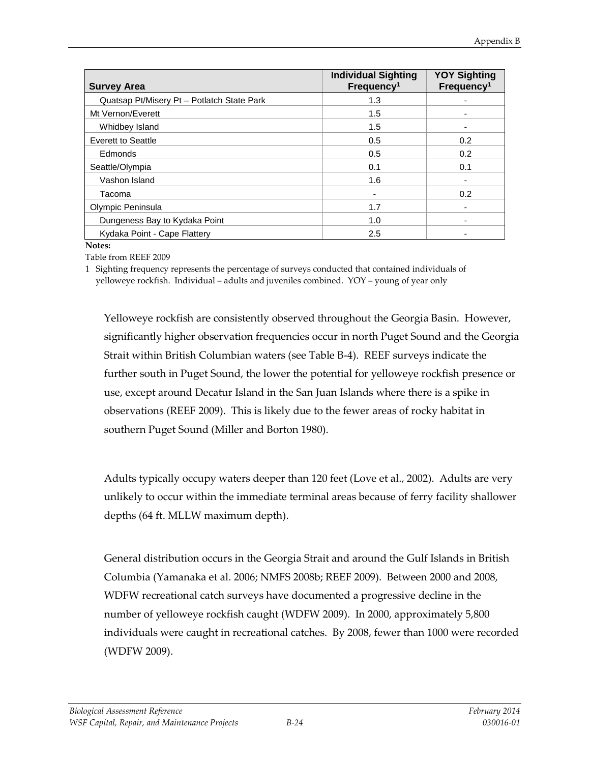| <b>Survey Area</b>                         | <b>Individual Sighting</b><br>Frequency <sup>1</sup> | <b>YOY Sighting</b><br>Frequency <sup>1</sup> |
|--------------------------------------------|------------------------------------------------------|-----------------------------------------------|
| Quatsap Pt/Misery Pt - Potlatch State Park | 1.3                                                  |                                               |
| Mt Vernon/Everett                          | 1.5                                                  |                                               |
| Whidbey Island                             | 1.5                                                  |                                               |
| Everett to Seattle                         | 0.5                                                  | 0.2                                           |
| Edmonds                                    | 0.5                                                  | 0.2                                           |
| Seattle/Olympia                            | 0.1                                                  | 0.1                                           |
| Vashon Island                              | 1.6                                                  |                                               |
| Tacoma                                     | -                                                    | 0.2                                           |
| Olympic Peninsula                          | 1.7                                                  |                                               |
| Dungeness Bay to Kydaka Point              | 1.0                                                  |                                               |
| Kydaka Point - Cape Flattery               | 2.5                                                  |                                               |

**Notes:**

Table from REEF 2009

1 Sighting frequency represents the percentage of surveys conducted that contained individuals of yelloweye rockfish. Individual = adults and juveniles combined. YOY = young of year only

Yelloweye rockfish are consistently observed throughout the Georgia Basin. However, significantly higher observation frequencies occur in north Puget Sound and the Georgia Strait within British Columbian waters (see Table B-4). REEF surveys indicate the further south in Puget Sound, the lower the potential for yelloweye rockfish presence or use, except around Decatur Island in the San Juan Islands where there is a spike in observations (REEF 2009). This is likely due to the fewer areas of rocky habitat in southern Puget Sound (Miller and Borton 1980).

Adults typically occupy waters deeper than 120 feet (Love et al., 2002). Adults are very unlikely to occur within the immediate terminal areas because of ferry facility shallower depths (64 ft. MLLW maximum depth).

General distribution occurs in the Georgia Strait and around the Gulf Islands in British Columbia (Yamanaka et al. 2006; NMFS 2008b; REEF 2009). Between 2000 and 2008, WDFW recreational catch surveys have documented a progressive decline in the number of yelloweye rockfish caught (WDFW 2009). In 2000, approximately 5,800 individuals were caught in recreational catches. By 2008, fewer than 1000 were recorded (WDFW 2009).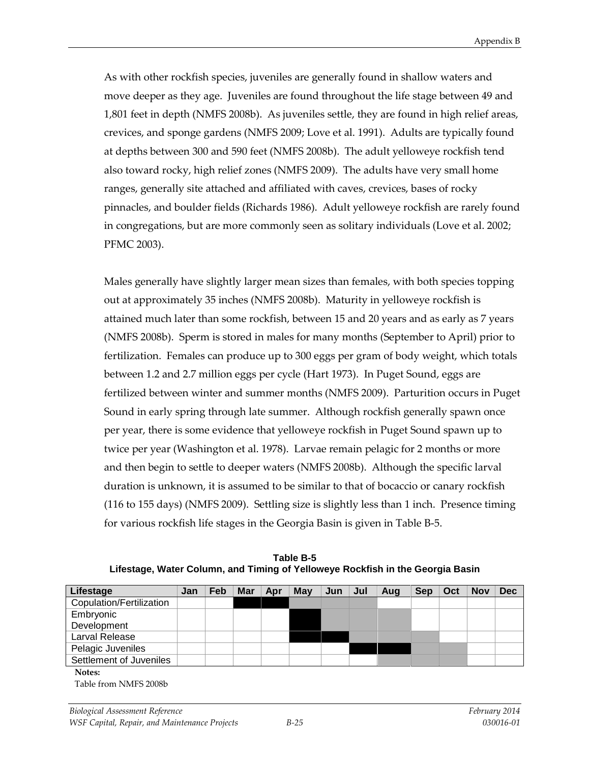As with other rockfish species, juveniles are generally found in shallow waters and move deeper as they age. Juveniles are found throughout the life stage between 49 and 1,801 feet in depth (NMFS 2008b). As juveniles settle, they are found in high relief areas, crevices, and sponge gardens (NMFS 2009; Love et al. 1991). Adults are typically found at depths between 300 and 590 feet (NMFS 2008b). The adult yelloweye rockfish tend also toward rocky, high relief zones (NMFS 2009). The adults have very small home ranges, generally site attached and affiliated with caves, crevices, bases of rocky pinnacles, and boulder fields (Richards 1986). Adult yelloweye rockfish are rarely found in congregations, but are more commonly seen as solitary individuals (Love et al. 2002; PFMC 2003).

Males generally have slightly larger mean sizes than females, with both species topping out at approximately 35 inches (NMFS 2008b). Maturity in yelloweye rockfish is attained much later than some rockfish, between 15 and 20 years and as early as 7 years (NMFS 2008b). Sperm is stored in males for many months (September to April) prior to fertilization. Females can produce up to 300 eggs per gram of body weight, which totals between 1.2 and 2.7 million eggs per cycle (Hart 1973). In Puget Sound, eggs are fertilized between winter and summer months (NMFS 2009). Parturition occurs in Puget Sound in early spring through late summer. Although rockfish generally spawn once per year, there is some evidence that yelloweye rockfish in Puget Sound spawn up to twice per year (Washington et al. 1978). Larvae remain pelagic for 2 months or more and then begin to settle to deeper waters (NMFS 2008b). Although the specific larval duration is unknown, it is assumed to be similar to that of bocaccio or canary rockfish (116 to 155 days) (NMFS 2009). Settling size is slightly less than 1 inch. Presence timing for various rockfish life stages in the Georgia Basin is given in Table B-5.

| Lifestage                | Jan | Feb | <b>Mar</b> | Apr | May | Jun | Jul | Aug | <b>Sep</b> | Oct | <b>Nov</b> | <b>Dec</b> |
|--------------------------|-----|-----|------------|-----|-----|-----|-----|-----|------------|-----|------------|------------|
| Copulation/Fertilization |     |     |            |     |     |     |     |     |            |     |            |            |
| Embryonic                |     |     |            |     |     |     |     |     |            |     |            |            |
| Development              |     |     |            |     |     |     |     |     |            |     |            |            |
| Larval Release           |     |     |            |     |     |     |     |     |            |     |            |            |
| Pelagic Juveniles        |     |     |            |     |     |     |     |     |            |     |            |            |
| Settlement of Juveniles  |     |     |            |     |     |     |     |     |            |     |            |            |
| Notes:                   |     |     |            |     |     |     |     |     |            |     |            |            |
| Table from NMFS 2008b    |     |     |            |     |     |     |     |     |            |     |            |            |

**Table B-5 Lifestage, Water Column, and Timing of Yelloweye Rockfish in the Georgia Basin**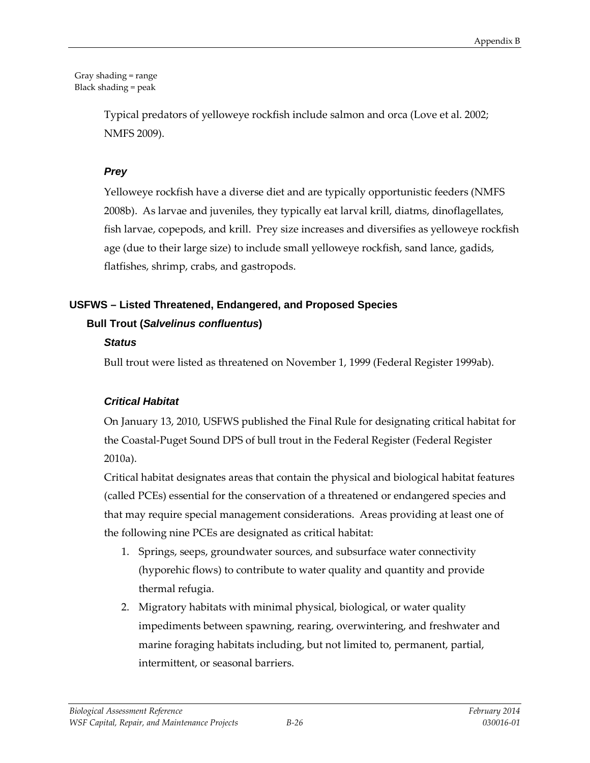#### Gray shading = range Black shading = peak

Typical predators of yelloweye rockfish include salmon and orca (Love et al. 2002; NMFS 2009).

# *Prey*

Yelloweye rockfish have a diverse diet and are typically opportunistic feeders (NMFS 2008b). As larvae and juveniles, they typically eat larval krill, diatms, dinoflagellates, fish larvae, copepods, and krill. Prey size increases and diversifies as yelloweye rockfish age (due to their large size) to include small yelloweye rockfish, sand lance, gadids, flatfishes, shrimp, crabs, and gastropods.

# **USFWS – Listed Threatened, Endangered, and Proposed Species**

# **Bull Trout (***Salvelinus confluentus***)**

# *Status*

Bull trout were listed as threatened on November 1, 1999 (Federal Register 1999ab).

# *Critical Habitat*

On January 13, 2010, USFWS published the Final Rule for designating critical habitat for the Coastal-Puget Sound DPS of bull trout in the Federal Register (Federal Register 2010a).

Critical habitat designates areas that contain the physical and biological habitat features (called PCEs) essential for the conservation of a threatened or endangered species and that may require special management considerations. Areas providing at least one of the following nine PCEs are designated as critical habitat:

- 1. Springs, seeps, groundwater sources, and subsurface water connectivity (hyporehic flows) to contribute to water quality and quantity and provide thermal refugia.
- 2. Migratory habitats with minimal physical, biological, or water quality impediments between spawning, rearing, overwintering, and freshwater and marine foraging habitats including, but not limited to, permanent, partial, intermittent, or seasonal barriers.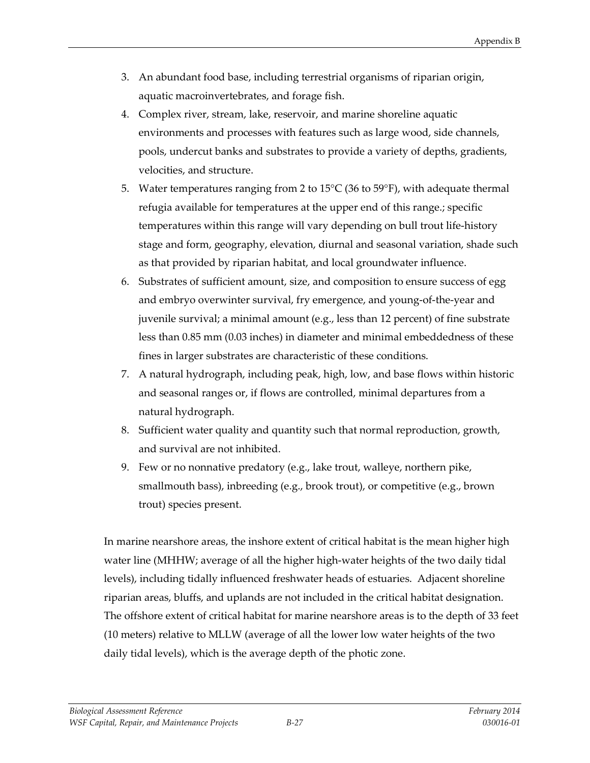- 3. An abundant food base, including terrestrial organisms of riparian origin, aquatic macroinvertebrates, and forage fish.
- 4. Complex river, stream, lake, reservoir, and marine shoreline aquatic environments and processes with features such as large wood, side channels, pools, undercut banks and substrates to provide a variety of depths, gradients, velocities, and structure.
- 5. Water temperatures ranging from 2 to 15°C (36 to 59°F), with adequate thermal refugia available for temperatures at the upper end of this range.; specific temperatures within this range will vary depending on bull trout life-history stage and form, geography, elevation, diurnal and seasonal variation, shade such as that provided by riparian habitat, and local groundwater influence.
- 6. Substrates of sufficient amount, size, and composition to ensure success of egg and embryo overwinter survival, fry emergence, and young-of-the-year and juvenile survival; a minimal amount (e.g., less than 12 percent) of fine substrate less than 0.85 mm (0.03 inches) in diameter and minimal embeddedness of these fines in larger substrates are characteristic of these conditions.
- 7. A natural hydrograph, including peak, high, low, and base flows within historic and seasonal ranges or, if flows are controlled, minimal departures from a natural hydrograph.
- 8. Sufficient water quality and quantity such that normal reproduction, growth, and survival are not inhibited.
- 9. Few or no nonnative predatory (e.g., lake trout, walleye, northern pike, smallmouth bass), inbreeding (e.g., brook trout), or competitive (e.g., brown trout) species present.

In marine nearshore areas, the inshore extent of critical habitat is the mean higher high water line (MHHW; average of all the higher high-water heights of the two daily tidal levels), including tidally influenced freshwater heads of estuaries. Adjacent shoreline riparian areas, bluffs, and uplands are not included in the critical habitat designation. The offshore extent of critical habitat for marine nearshore areas is to the depth of 33 feet (10 meters) relative to MLLW (average of all the lower low water heights of the two daily tidal levels), which is the average depth of the photic zone.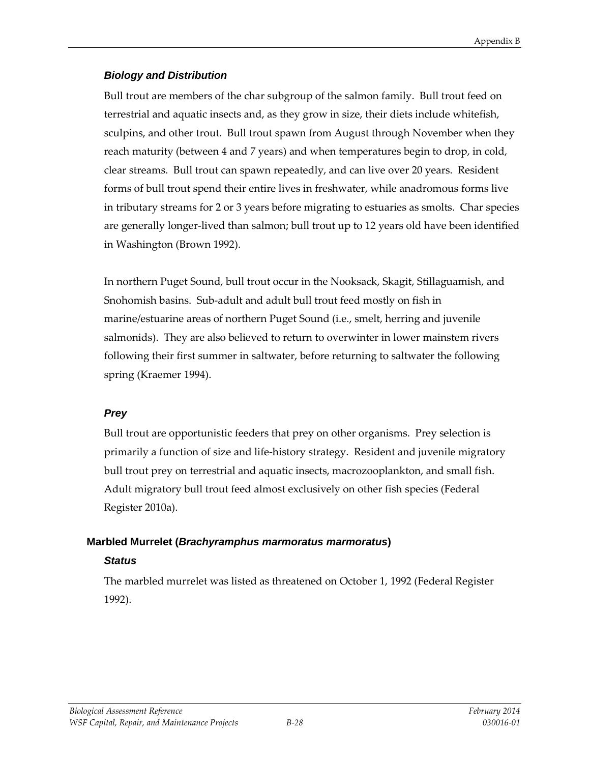### *Biology and Distribution*

Bull trout are members of the char subgroup of the salmon family. Bull trout feed on terrestrial and aquatic insects and, as they grow in size, their diets include whitefish, sculpins, and other trout. Bull trout spawn from August through November when they reach maturity (between 4 and 7 years) and when temperatures begin to drop, in cold, clear streams. Bull trout can spawn repeatedly, and can live over 20 years. Resident forms of bull trout spend their entire lives in freshwater, while anadromous forms live in tributary streams for 2 or 3 years before migrating to estuaries as smolts. Char species are generally longer-lived than salmon; bull trout up to 12 years old have been identified in Washington (Brown 1992).

In northern Puget Sound, bull trout occur in the Nooksack, Skagit, Stillaguamish, and Snohomish basins. Sub-adult and adult bull trout feed mostly on fish in marine/estuarine areas of northern Puget Sound (i.e., smelt, herring and juvenile salmonids). They are also believed to return to overwinter in lower mainstem rivers following their first summer in saltwater, before returning to saltwater the following spring (Kraemer 1994).

# *Prey*

Bull trout are opportunistic feeders that prey on other organisms. Prey selection is primarily a function of size and life-history strategy. Resident and juvenile migratory bull trout prey on terrestrial and aquatic insects, macrozooplankton, and small fish. Adult migratory bull trout feed almost exclusively on other fish species (Federal Register 2010a).

#### **Marbled Murrelet (***Brachyramphus marmoratus marmoratus***)**

#### *Status*

The marbled murrelet was listed as threatened on October 1, 1992 (Federal Register 1992).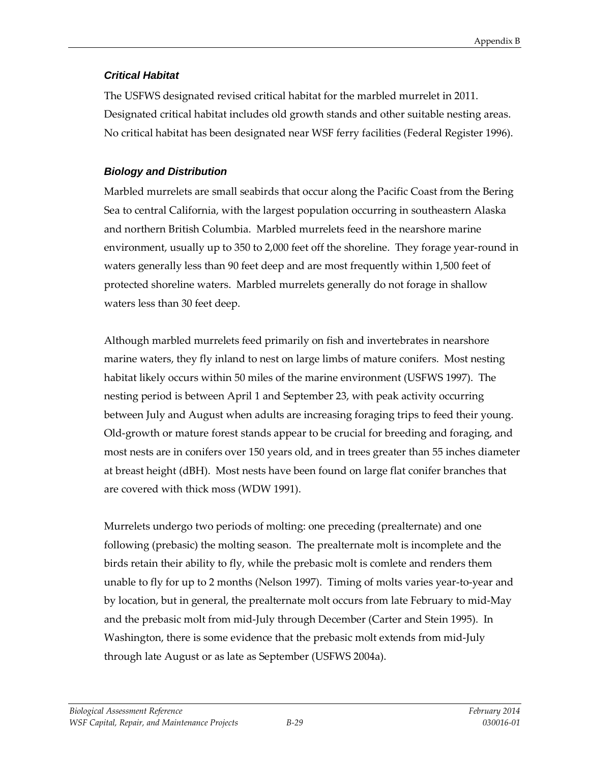## *Critical Habitat*

The USFWS designated revised critical habitat for the marbled murrelet in 2011. Designated critical habitat includes old growth stands and other suitable nesting areas. No critical habitat has been designated near WSF ferry facilities (Federal Register 1996).

# *Biology and Distribution*

Marbled murrelets are small seabirds that occur along the Pacific Coast from the Bering Sea to central California, with the largest population occurring in southeastern Alaska and northern British Columbia. Marbled murrelets feed in the nearshore marine environment, usually up to 350 to 2,000 feet off the shoreline. They forage year-round in waters generally less than 90 feet deep and are most frequently within 1,500 feet of protected shoreline waters. Marbled murrelets generally do not forage in shallow waters less than 30 feet deep.

Although marbled murrelets feed primarily on fish and invertebrates in nearshore marine waters, they fly inland to nest on large limbs of mature conifers. Most nesting habitat likely occurs within 50 miles of the marine environment (USFWS 1997). The nesting period is between April 1 and September 23, with peak activity occurring between July and August when adults are increasing foraging trips to feed their young. Old-growth or mature forest stands appear to be crucial for breeding and foraging, and most nests are in conifers over 150 years old, and in trees greater than 55 inches diameter at breast height (dBH). Most nests have been found on large flat conifer branches that are covered with thick moss (WDW 1991).

Murrelets undergo two periods of molting: one preceding (prealternate) and one following (prebasic) the molting season. The prealternate molt is incomplete and the birds retain their ability to fly, while the prebasic molt is comlete and renders them unable to fly for up to 2 months (Nelson 1997). Timing of molts varies year-to-year and by location, but in general, the prealternate molt occurs from late February to mid-May and the prebasic molt from mid-July through December (Carter and Stein 1995). In Washington, there is some evidence that the prebasic molt extends from mid-July through late August or as late as September (USFWS 2004a).